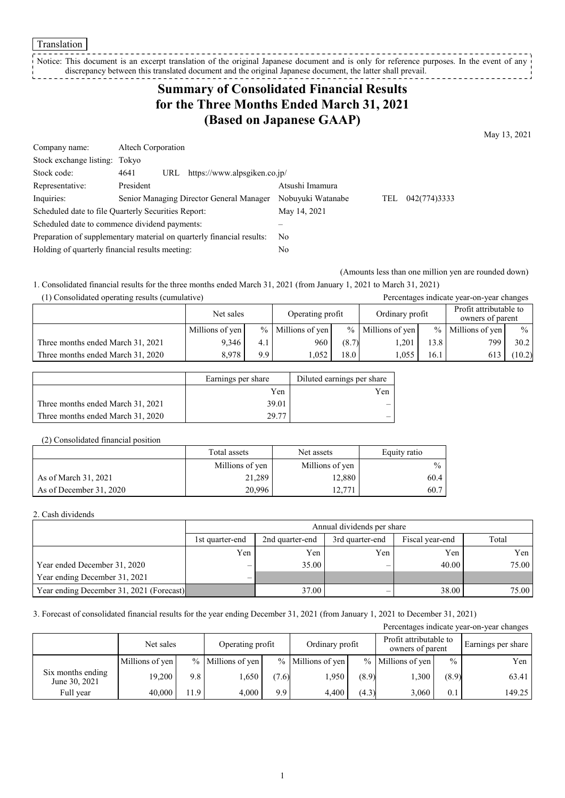Translation

Notice: This document is an excerpt translation of the original Japanese document and is only for reference purposes. In the event of any discrepancy between this translated document and the original Japanese document, the latter shall prevail.

## **Summary of Consolidated Financial Results for the Three Months Ended March 31, 2021 (Based on Japanese GAAP)**

May 13, 2021

| Company name:                                   | Altech Corporation                                                    |                   |     |              |
|-------------------------------------------------|-----------------------------------------------------------------------|-------------------|-----|--------------|
| Stock exchange listing: Tokyo                   |                                                                       |                   |     |              |
| Stock code:                                     | https://www.alpsgiken.co.jp/<br>4641<br>URL                           |                   |     |              |
| Representative:                                 | President                                                             | Atsushi Imamura   |     |              |
| Inquiries:                                      | Senior Managing Director General Manager                              | Nobuyuki Watanabe | TEL | 042(774)3333 |
|                                                 | Scheduled date to file Quarterly Securities Report:                   | May 14, 2021      |     |              |
|                                                 | Scheduled date to commence dividend payments:                         |                   |     |              |
|                                                 | Preparation of supplementary material on quarterly financial results: | No                |     |              |
| Holding of quarterly financial results meeting: |                                                                       | No                |     |              |

(Amounts less than one million yen are rounded down)

1. Consolidated financial results for the three months ended March 31, 2021 (from January 1, 2021 to March 31, 2021)

| (1) Consolidated operating results (cumulative) |                 |                               |                     |                 |                     |                                            | Percentages indicate year-on-year changes |               |
|-------------------------------------------------|-----------------|-------------------------------|---------------------|-----------------|---------------------|--------------------------------------------|-------------------------------------------|---------------|
|                                                 |                 | Operating profit<br>Net sales |                     | Ordinary profit |                     | Profit attributable to<br>owners of parent |                                           |               |
|                                                 | Millions of yen |                               | $%$ Millions of yen |                 | $%$ Millions of yen |                                            | $%$ Millions of yen                       | $\frac{0}{0}$ |
| Three months ended March 31, 2021               | 9.346           | 4.1                           | 960                 | (8.7)           | 1.201               | 13.8                                       | 799 <sub>1</sub>                          | 30.2          |
| Three months ended March 31, 2020               | 8.978           | 9.9                           | 0.052               | 18.0            | 1.055               | 16.1                                       | 613                                       | (10.2)        |

|                                   | Earnings per share | Diluted earnings per share |
|-----------------------------------|--------------------|----------------------------|
|                                   | Yen                | Y en                       |
| Three months ended March 31, 2021 | 39.01              |                            |
| Three months ended March 31, 2020 | 29.77              |                            |

#### (2) Consolidated financial position

|                         | Total assets<br>Net assets |                 | Equity ratio  |
|-------------------------|----------------------------|-----------------|---------------|
|                         | Millions of yen            | Millions of yen | $\frac{0}{0}$ |
| As of March 31, 2021    | 21,289                     | 12,880          | 60.4 l        |
| As of December 31, 2020 | 20,996                     | 12,771          | 60.7          |

### 2. Cash dividends

|                                          |                                 | Annual dividends per share                                     |     |       |       |  |  |  |  |
|------------------------------------------|---------------------------------|----------------------------------------------------------------|-----|-------|-------|--|--|--|--|
|                                          | 1st quarter-end                 | Total<br>2nd quarter-end<br>Fiscal year-end<br>3rd quarter-end |     |       |       |  |  |  |  |
|                                          | Yen                             | Yen                                                            | Yen | Yen   | Yen   |  |  |  |  |
| Year ended December 31, 2020             | $\overline{\phantom{0}}$        | 35.00                                                          |     | 40.00 | 75.00 |  |  |  |  |
| Year ending December 31, 2021            | $\hspace{0.1mm}-\hspace{0.1mm}$ |                                                                |     |       |       |  |  |  |  |
| Year ending December 31, 2021 (Forecast) |                                 | 37.00                                                          |     | 38.00 | 75.00 |  |  |  |  |

### 3. Forecast of consolidated financial results for the year ending December 31, 2021 (from January 1, 2021 to December 31, 2021)

| Percentages indicate year-on-year changes |                 |                               |                   |       |                   |       |                     |               |        |                 |                                            |  |                    |
|-------------------------------------------|-----------------|-------------------------------|-------------------|-------|-------------------|-------|---------------------|---------------|--------|-----------------|--------------------------------------------|--|--------------------|
|                                           |                 | Operating profit<br>Net sales |                   |       |                   |       |                     |               |        | Ordinary profit | Profit attributable to<br>owners of parent |  | Earnings per share |
|                                           | Millions of yen |                               | % Millions of yen |       | % Millions of yen |       | $%$ Millions of yen | $\frac{0}{0}$ | Yen    |                 |                                            |  |                    |
| Six months ending<br>June 30, 2021        | 19,200          | 9.8                           | 1,650             | (7.6) | 1,950             | (8.9) | 1,300               | (8.9)         | 63.41  |                 |                                            |  |                    |
| Full year                                 | 40,000          | 1.9                           | 4.000             | 9.9   | 4.400             | (4.3) | 3,060               | 0.1           | 149.25 |                 |                                            |  |                    |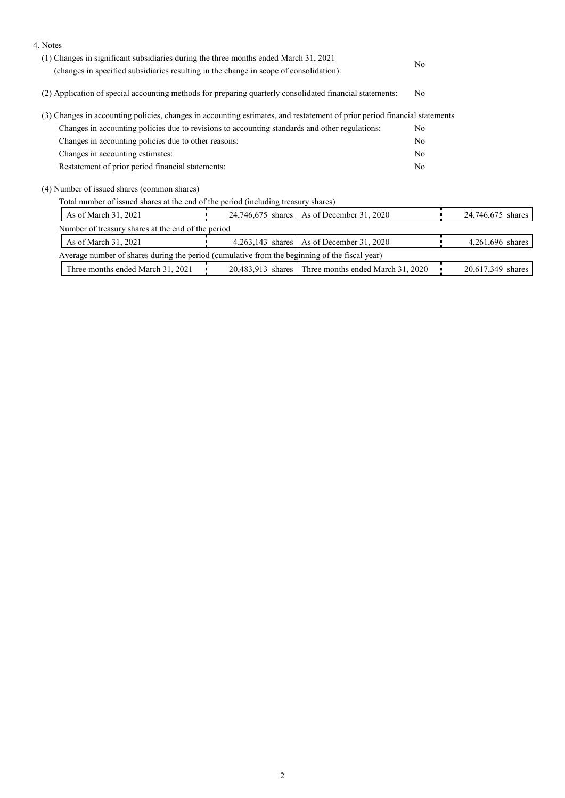| 4. Notes                                                                                                                  |                |                                                       |                |                   |
|---------------------------------------------------------------------------------------------------------------------------|----------------|-------------------------------------------------------|----------------|-------------------|
| (1) Changes in significant subsidiaries during the three months ended March 31, 2021                                      | No.            |                                                       |                |                   |
| (changes in specified subsidiaries resulting in the change in scope of consolidation):                                    |                |                                                       |                |                   |
| (2) Application of special accounting methods for preparing quarterly consolidated financial statements:                  | N <sub>o</sub> |                                                       |                |                   |
| (3) Changes in accounting policies, changes in accounting estimates, and restatement of prior period financial statements |                |                                                       |                |                   |
| Changes in accounting policies due to revisions to accounting standards and other regulations:                            |                |                                                       | No.            |                   |
| Changes in accounting policies due to other reasons:                                                                      |                |                                                       |                |                   |
| Changes in accounting estimates:                                                                                          |                |                                                       | N <sub>o</sub> |                   |
| Restatement of prior period financial statements:                                                                         |                |                                                       | N <sub>o</sub> |                   |
| (4) Number of issued shares (common shares)                                                                               |                |                                                       |                |                   |
| Total number of issued shares at the end of the period (including treasury shares)                                        |                |                                                       |                |                   |
| As of March 31, 2021<br>24,746,675 shares   As of December 31, 2020                                                       |                |                                                       |                | 24,746,675 shares |
| Number of treasury shares at the end of the period                                                                        |                |                                                       |                |                   |
| As of December 31, 2020<br>As of March 31, 2021<br>$4,263,143$ shares                                                     |                |                                                       |                | 4,261,696 shares  |
| Average number of shares during the period (cumulative from the beginning of the fiscal year)                             |                |                                                       |                |                   |
| Three months ended March 31, 2021                                                                                         |                | 20,483,913 shares   Three months ended March 31, 2020 |                | 20,617,349 shares |
|                                                                                                                           |                |                                                       |                |                   |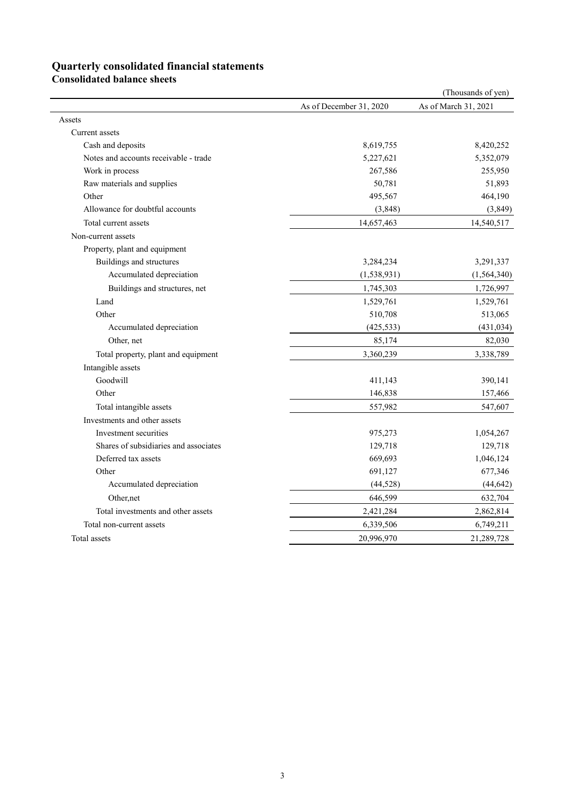# **Quarterly consolidated financial statements**

**Consolidated balance sheets** 

|                                       |                         | (Thousands of yen)   |
|---------------------------------------|-------------------------|----------------------|
|                                       | As of December 31, 2020 | As of March 31, 2021 |
| Assets                                |                         |                      |
| Current assets                        |                         |                      |
| Cash and deposits                     | 8,619,755               | 8,420,252            |
| Notes and accounts receivable - trade | 5,227,621               | 5,352,079            |
| Work in process                       | 267,586                 | 255,950              |
| Raw materials and supplies            | 50,781                  | 51,893               |
| Other                                 | 495,567                 | 464,190              |
| Allowance for doubtful accounts       | (3,848)                 | (3,849)              |
| Total current assets                  | 14,657,463              | 14,540,517           |
| Non-current assets                    |                         |                      |
| Property, plant and equipment         |                         |                      |
| Buildings and structures              | 3,284,234               | 3,291,337            |
| Accumulated depreciation              | (1,538,931)             | (1, 564, 340)        |
| Buildings and structures, net         | 1,745,303               | 1,726,997            |
| Land                                  | 1,529,761               | 1,529,761            |
| Other                                 | 510,708                 | 513,065              |
| Accumulated depreciation              | (425, 533)              | (431, 034)           |
| Other, net                            | 85,174                  | 82,030               |
| Total property, plant and equipment   | 3,360,239               | 3,338,789            |
| Intangible assets                     |                         |                      |
| Goodwill                              | 411,143                 | 390,141              |
| Other                                 | 146,838                 | 157,466              |
| Total intangible assets               | 557,982                 | 547,607              |
| Investments and other assets          |                         |                      |
| Investment securities                 | 975,273                 | 1,054,267            |
| Shares of subsidiaries and associates | 129,718                 | 129,718              |
| Deferred tax assets                   | 669,693                 | 1,046,124            |
| Other                                 | 691,127                 | 677,346              |
| Accumulated depreciation              | (44, 528)               | (44, 642)            |
| Other, net                            | 646,599                 | 632,704              |
| Total investments and other assets    | 2,421,284               | 2,862,814            |
| Total non-current assets              | 6,339,506               | 6,749,211            |
| Total assets                          | 20,996,970              | 21,289,728           |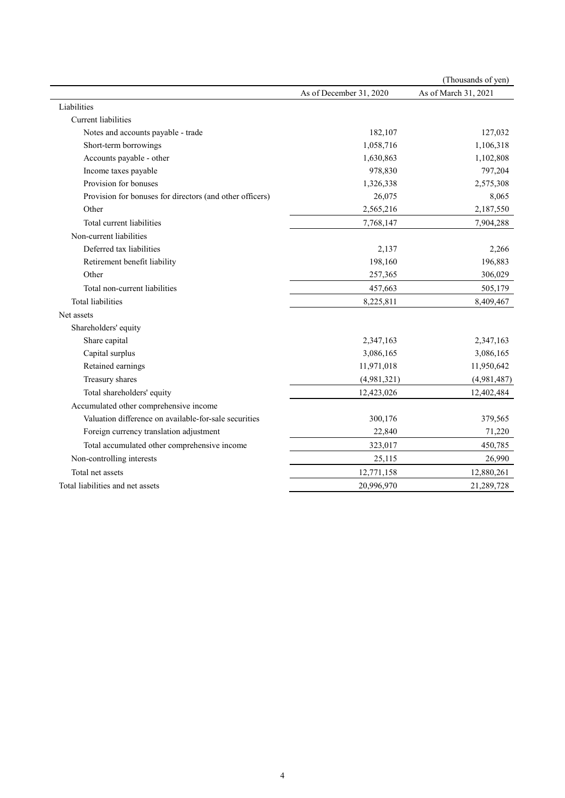|                                                          |                         | (Thousands of yen)   |
|----------------------------------------------------------|-------------------------|----------------------|
|                                                          | As of December 31, 2020 | As of March 31, 2021 |
| Liabilities                                              |                         |                      |
| <b>Current</b> liabilities                               |                         |                      |
| Notes and accounts payable - trade                       | 182,107                 | 127,032              |
| Short-term borrowings                                    | 1,058,716               | 1,106,318            |
| Accounts payable - other                                 | 1,630,863               | 1,102,808            |
| Income taxes payable                                     | 978,830                 | 797,204              |
| Provision for bonuses                                    | 1,326,338               | 2,575,308            |
| Provision for bonuses for directors (and other officers) | 26,075                  | 8,065                |
| Other                                                    | 2,565,216               | 2,187,550            |
| Total current liabilities                                | 7,768,147               | 7,904,288            |
| Non-current liabilities                                  |                         |                      |
| Deferred tax liabilities                                 | 2,137                   | 2,266                |
| Retirement benefit liability                             | 198,160                 | 196,883              |
| Other                                                    | 257,365                 | 306,029              |
| Total non-current liabilities                            | 457,663                 | 505,179              |
| <b>Total liabilities</b>                                 | 8,225,811               | 8,409,467            |
| Net assets                                               |                         |                      |
| Shareholders' equity                                     |                         |                      |
| Share capital                                            | 2,347,163               | 2,347,163            |
| Capital surplus                                          | 3,086,165               | 3,086,165            |
| Retained earnings                                        | 11,971,018              | 11,950,642           |
| Treasury shares                                          | (4,981,321)             | (4,981,487)          |
| Total shareholders' equity                               | 12,423,026              | 12,402,484           |
| Accumulated other comprehensive income                   |                         |                      |
| Valuation difference on available-for-sale securities    | 300,176                 | 379,565              |
| Foreign currency translation adjustment                  | 22,840                  | 71,220               |
| Total accumulated other comprehensive income             | 323,017                 | 450,785              |
| Non-controlling interests                                | 25,115                  | 26,990               |
| Total net assets                                         | 12,771,158              | 12,880,261           |
| Total liabilities and net assets                         | 20,996,970              | 21,289,728           |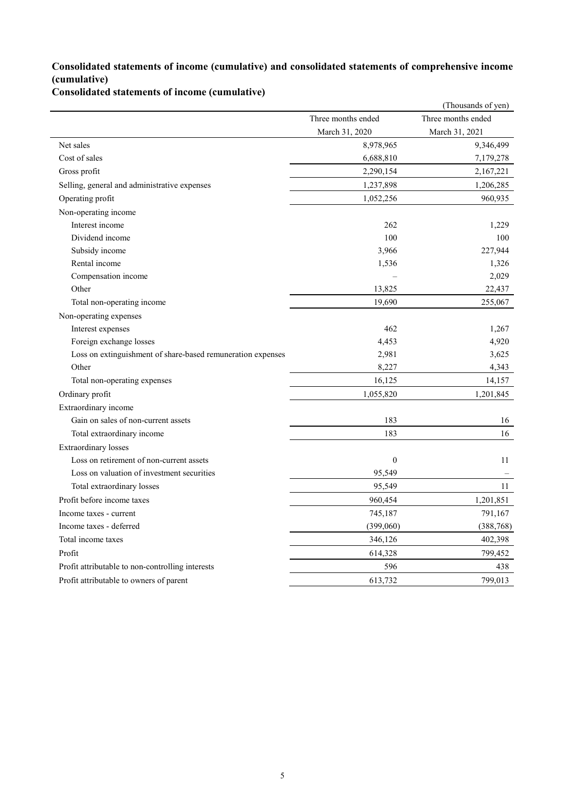## **Consolidated statements of income (cumulative) and consolidated statements of comprehensive income (cumulative)**

**Consolidated statements of income (cumulative)**

|                                                             |                    | (Thousands of yen) |
|-------------------------------------------------------------|--------------------|--------------------|
|                                                             | Three months ended | Three months ended |
|                                                             | March 31, 2020     | March 31, 2021     |
| Net sales                                                   | 8,978,965          | 9,346,499          |
| Cost of sales                                               | 6,688,810          | 7,179,278          |
| Gross profit                                                | 2,290,154          | 2,167,221          |
| Selling, general and administrative expenses                | 1,237,898          | 1,206,285          |
| Operating profit                                            | 1,052,256          | 960,935            |
| Non-operating income                                        |                    |                    |
| Interest income                                             | 262                | 1,229              |
| Dividend income                                             | 100                | 100                |
| Subsidy income                                              | 3,966              | 227,944            |
| Rental income                                               | 1,536              | 1,326              |
| Compensation income                                         |                    | 2,029              |
| Other                                                       | 13,825             | 22,437             |
| Total non-operating income                                  | 19,690             | 255,067            |
| Non-operating expenses                                      |                    |                    |
| Interest expenses                                           | 462                | 1,267              |
| Foreign exchange losses                                     | 4,453              | 4,920              |
| Loss on extinguishment of share-based remuneration expenses | 2,981              | 3,625              |
| Other                                                       | 8,227              | 4,343              |
| Total non-operating expenses                                | 16,125             | 14,157             |
| Ordinary profit                                             | 1,055,820          | 1,201,845          |
| Extraordinary income                                        |                    |                    |
| Gain on sales of non-current assets                         | 183                | 16                 |
| Total extraordinary income                                  | 183                | 16                 |
| <b>Extraordinary</b> losses                                 |                    |                    |
| Loss on retirement of non-current assets                    | $\mathbf{0}$       | 11                 |
| Loss on valuation of investment securities                  | 95,549             |                    |
| Total extraordinary losses                                  | 95,549             | 11                 |
| Profit before income taxes                                  | 960,454            | 1,201,851          |
| Income taxes - current                                      | 745,187            | 791,167            |
| Income taxes - deferred                                     | (399,060)          | (388, 768)         |
| Total income taxes                                          | 346,126            | 402,398            |
| Profit                                                      | 614,328            | 799,452            |
| Profit attributable to non-controlling interests            | 596                | 438                |
| Profit attributable to owners of parent                     | 613,732            | 799,013            |